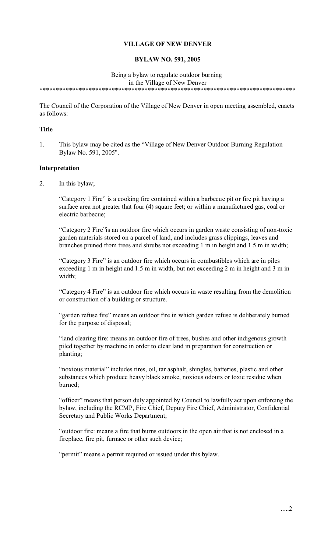# **VILLAGE OF NEW DENVER**

### **BYLAW NO. 591, 2005**

#### Being a bylaw to regulate outdoor burning in the Village of New Denver \*\*\*\*\*\*\*\*\*\*\*\*\*\*\*\*\*\*\*\*\*\*\*\*\*\*\*\*\*\*\*\*\*\*\*\*\*\*\*\*\*\*\*\*\*\*\*\*\*\*\*\*\*\*\*\*\*\*\*\*\*\*\*\*\*\*\*\*\*\*\*\*\*\*\*\*\*\*

The Council of the Corporation of the Village of New Denver in open meeting assembled, enacts as follows:

## **Title**

1. This bylaw may be cited as the "Village of New Denver Outdoor Burning Regulation Bylaw No. 591, 2005".

### **Interpretation**

2. In this bylaw;

"Category 1 Fire" is a cooking fire contained within a barbecue pit or fire pit having a surface area not greater that four (4) square feet; or within a manufactured gas, coal or electric barbecue;

"Category 2 Fire"is an outdoor fire which occurs in garden waste consisting of non-toxic garden materials stored on a parcel of land, and includes grass clippings, leaves and branches pruned from trees and shrubs not exceeding 1 m in height and 1.5 m in width;

"Category 3 Fire" is an outdoor fire which occurs in combustibles which are in piles exceeding 1 m in height and 1.5 m in width, but not exceeding 2 m in height and 3 m in width;

"Category 4 Fire" is an outdoor fire which occurs in waste resulting from the demolition or construction of a building or structure.

"garden refuse fire" means an outdoor fire in which garden refuse is deliberately burned for the purpose of disposal;

"land clearing fire: means an outdoor fire of trees, bushes and other indigenous growth piled together by machine in order to clear land in preparation for construction or planting;

"noxious material" includes tires, oil, tar asphalt, shingles, batteries, plastic and other substances which produce heavy black smoke, noxious odours or toxic residue when burned;

"officer" means that person duly appointed by Council to lawfully act upon enforcing the bylaw, including the RCMP, Fire Chief, Deputy Fire Chief, Administrator, Confidential Secretary and Public Works Department;

"outdoor fire: means a fire that burns outdoors in the open air that is not enclosed in a fireplace, fire pit, furnace or other such device;

"permit" means a permit required or issued under this bylaw.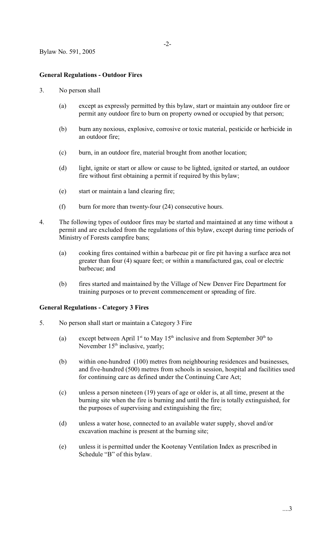## **General Regulations - Outdoor Fires**

#### 3. No person shall

- (a) except as expressly permitted by this bylaw, start or maintain any outdoor fire or permit any outdoor fire to burn on property owned or occupied by that person;
- (b) burn any noxious, explosive, corrosive or toxic material, pesticide or herbicide in an outdoor fire;
- (c) burn, in an outdoor fire, material brought from another location;
- (d) light, ignite or start or allow or cause to be lighted, ignited or started, an outdoor fire without first obtaining a permit if required by this bylaw;
- (e) start or maintain a land clearing fire;
- (f) burn for more than twenty-four (24) consecutive hours.
- 4. The following types of outdoor fires may be started and maintained at any time without a permit and are excluded from the regulations of this bylaw, except during time periods of Ministry of Forests campfire bans;
	- (a) cooking fires contained within a barbecue pit or fire pit having a surface area not greater than four (4) square feet; or within a manufactured gas, coal or electric barbecue; and
	- (b) fires started and maintained by the Village of New Denver Fire Department for training purposes or to prevent commencement or spreading of fire.

## **General Regulations - Category 3 Fires**

- 5. No person shall start or maintain a Category 3 Fire
	- (a) except between April 1<sup>st</sup> to May 15<sup>th</sup> inclusive and from September 30<sup>th</sup> to November  $15<sup>th</sup>$  inclusive, yearly;
	- (b) within one-hundred (100) metres from neighbouring residences and businesses, and five-hundred (500) metres from schools in session, hospital and facilities used for continuing care as defined under the Continuing Care Act;
	- (c) unless a person nineteen (19) years of age or older is, at all time, present at the burning site when the fire is burning and until the fire is totally extinguished, for the purposes of supervising and extinguishing the fire;
	- (d) unless a water hose, connected to an available water supply, shovel and/or excavation machine is present at the burning site;
	- (e) unless it is permitted under the Kootenay Ventilation Index as prescribed in Schedule "B" of this bylaw.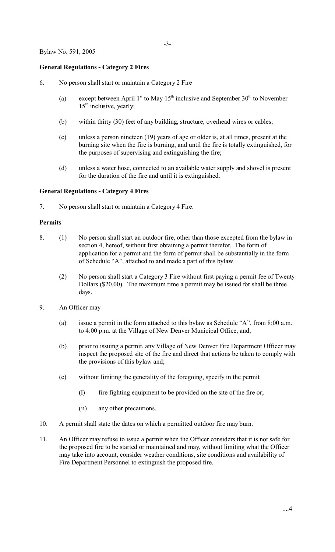# **General Regulations - Category 2 Fires**

- 6. No person shall start or maintain a Category 2 Fire
	- (a) except between April 1<sup>st</sup> to May 15<sup>th</sup> inclusive and September 30<sup>th</sup> to November  $15<sup>th</sup>$  inclusive, yearly;
	- (b) within thirty (30) feet of any building, structure, overhead wires or cables;
	- (c) unless a person nineteen (19) years of age or older is, at all times, present at the burning site when the fire is burning, and until the fire is totally extinguished, for the purposes of supervising and extinguishing the fire;
	- (d) unless a water hose, connected to an available water supply and shovel is present for the duration of the fire and until it is extinguished.

### **General Regulations - Category 4 Fires**

7. No person shall start or maintain a Category 4 Fire.

### **Permits**

- 8. (1) No person shall start an outdoor fire, other than those excepted from the bylaw in section 4, hereof, without first obtaining a permit therefor. The form of application for a permit and the form of permit shall be substantially in the form of Schedule "A", attached to and made a part of this bylaw.
	- (2) No person shall start a Category 3 Fire without first paying a permit fee of Twenty Dollars (\$20.00). The maximum time a permit may be issued for shall be three days.
- 9. An Officer may
	- (a) issue a permit in the form attached to this bylaw as Schedule "A", from 8:00 a.m. to 4:00 p.m. at the Village of New Denver Municipal Office, and;
	- (b) prior to issuing a permit, any Village of New Denver Fire Department Officer may inspect the proposed site of the fire and direct that actions be taken to comply with the provisions of this bylaw and;
	- (c) without limiting the generality of the foregoing, specify in the permit
		- (I) fire fighting equipment to be provided on the site of the fire or;
		- (ii) any other precautions.
- 10. A permit shall state the dates on which a permitted outdoor fire may burn.
- 11. An Officer may refuse to issue a permit when the Officer considers that it is not safe for the proposed fire to be started or maintained and may, without limiting what the Officer may take into account, consider weather conditions, site conditions and availability of Fire Department Personnel to extinguish the proposed fire.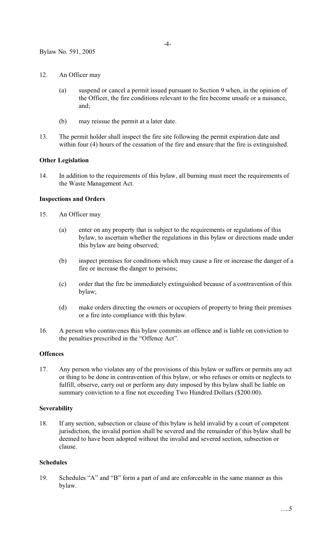- 12. An Officer may
	- (a) suspend or cancel a permit issued pursuant to Section 9 when, in the opinion of the Officer, the fire conditions relevant to the fire become unsafe or a nuisance, and;
	- (b) may reissue the permit at a later date.
- 13. The permit holder shall inspect the fire site following the permit expiration date and within four (4) hours of the cessation of the fire and ensure that the fire is extinguished.

## **Other Legislation**

14. In addition to the requirements of this bylaw, all burning must meet the requirements of the Waste Management Act.

#### **Inspections and Orders**

- 15. An Officer may
	- (a) enter on any property that is subject to the requirements or regulations of this bylaw, to ascertain whether the regulations in this bylaw or directions made under this bylaw are being observed;
	- (b) inspect premises for conditions which may cause a fire or increase the danger of a fire or increase the danger to persons;
	- (c) order that the fire be immediately extinguished because of a contravention of this bylaw;
	- (d) make orders directing the owners or occupiers of property to bring their premises or a fire into compliance with this bylaw.
- 16. A person who contravenes this bylaw commits an offence and is liable on conviction to the penalties prescribed in the "Offence Act".

## **Offences**

17. Any person who violates any of the provisions of this bylaw or suffers or permits any act or thing to be done in contravention of this bylaw, or who refuses or omits or neglects to fulfill, observe, carry out or perform any duty imposed by this bylaw shall be liable on summary conviction to a fine not exceeding Two Hundred Dollars (\$200.00).

#### **Severability**

18. If any section, subsection or clause of this bylaw is held invalid by a court of competent jurisdiction, the invalid portion shall be severed and the remainder of this bylaw shall be deemed to have been adopted without the invalid and severed section, subsection or clause.

## **Schedules**

19. Schedules "A" and "B" form a part of and are enforceable in the same manner as this bylaw.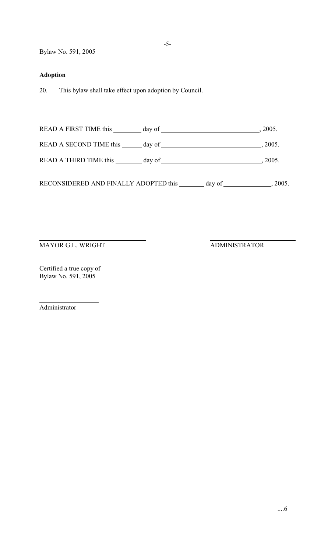Bylaw No. 591, 2005

# **Adoption**

20. This bylaw shall take effect upon adoption by Council.

READ A FIRST TIME this day of  $\frac{1}{2005}$ , 2005. READ A SECOND TIME this day of , 2005. READ A THIRD TIME this day of , 2005.

RECONSIDERED AND FINALLY ADOPTED this  $\_\_\_\_$  day of  $\_\_\_\_\_$ , 2005.

 $\overline{a}$ MAYOR G.L. WRIGHT ADMINISTRATOR

Certified a true copy of Bylaw No. 591, 2005

Administrator

 $\overline{a}$